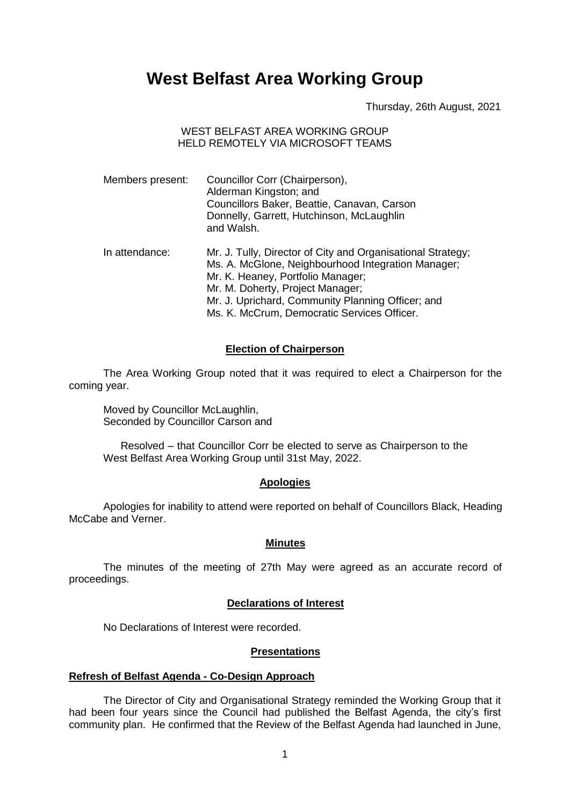# **West Belfast Area Working Group**

Thursday, 26th August, 2021

## WEST BELFAST AREA WORKING GROUP HELD REMOTELY VIA MICROSOFT TEAMS

| Members present: | Councillor Corr (Chairperson),<br>Alderman Kingston; and<br>Councillors Baker, Beattie, Canavan, Carson<br>Donnelly, Garrett, Hutchinson, McLaughlin<br>and Walsh.                                                                                                                             |
|------------------|------------------------------------------------------------------------------------------------------------------------------------------------------------------------------------------------------------------------------------------------------------------------------------------------|
| In attendance:   | Mr. J. Tully, Director of City and Organisational Strategy;<br>Ms. A. McGlone, Neighbourhood Integration Manager;<br>Mr. K. Heaney, Portfolio Manager;<br>Mr. M. Doherty, Project Manager;<br>Mr. J. Uprichard, Community Planning Officer; and<br>Ms. K. McCrum, Democratic Services Officer. |

#### **Election of Chairperson**

The Area Working Group noted that it was required to elect a Chairperson for the coming year.

Moved by Councillor McLaughlin, Seconded by Councillor Carson and

Resolved – that Councillor Corr be elected to serve as Chairperson to the West Belfast Area Working Group until 31st May, 2022.

#### **Apologies**

Apologies for inability to attend were reported on behalf of Councillors Black, Heading McCabe and Verner.

#### **Minutes**

The minutes of the meeting of 27th May were agreed as an accurate record of proceedings.

# **Declarations of Interest**

No Declarations of Interest were recorded.

#### **Presentations**

#### **Refresh of Belfast Agenda - Co-Design Approach**

The Director of City and Organisational Strategy reminded the Working Group that it had been four years since the Council had published the Belfast Agenda, the city's first community plan. He confirmed that the Review of the Belfast Agenda had launched in June,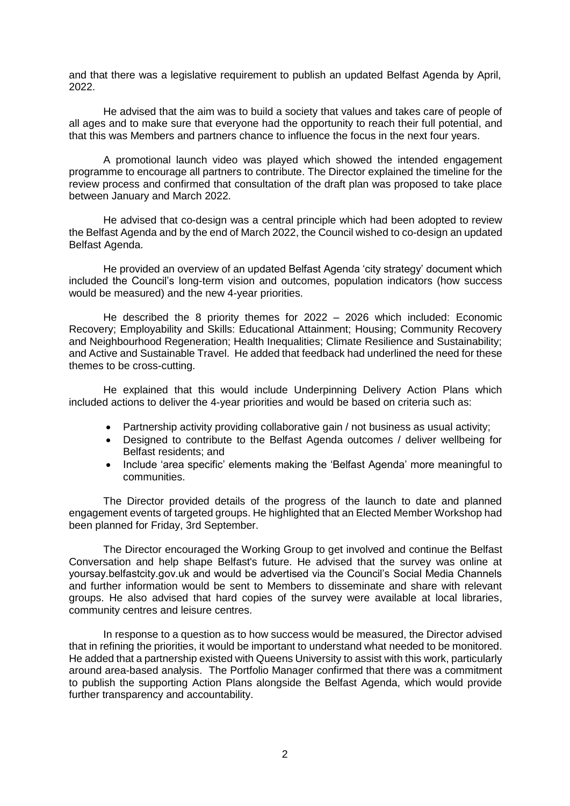and that there was a legislative requirement to publish an updated Belfast Agenda by April, 2022.

He advised that the aim was to build a society that values and takes care of people of all ages and to make sure that everyone had the opportunity to reach their full potential, and that this was Members and partners chance to influence the focus in the next four years.

A promotional launch video was played which showed the intended engagement programme to encourage all partners to contribute. The Director explained the timeline for the review process and confirmed that consultation of the draft plan was proposed to take place between January and March 2022.

He advised that co-design was a central principle which had been adopted to review the Belfast Agenda and by the end of March 2022, the Council wished to co-design an updated Belfast Agenda.

He provided an overview of an updated Belfast Agenda 'city strategy' document which included the Council's long-term vision and outcomes, population indicators (how success would be measured) and the new 4-year priorities.

He described the 8 priority themes for 2022 – 2026 which included: Economic Recovery; Employability and Skills: Educational Attainment; Housing; Community Recovery and Neighbourhood Regeneration; Health Inequalities; Climate Resilience and Sustainability; and Active and Sustainable Travel. He added that feedback had underlined the need for these themes to be cross-cutting.

He explained that this would include Underpinning Delivery Action Plans which included actions to deliver the 4-year priorities and would be based on criteria such as:

- Partnership activity providing collaborative gain / not business as usual activity;
- Designed to contribute to the Belfast Agenda outcomes / deliver wellbeing for Belfast residents; and
- Include 'area specific' elements making the 'Belfast Agenda' more meaningful to communities.

The Director provided details of the progress of the launch to date and planned engagement events of targeted groups. He highlighted that an Elected Member Workshop had been planned for Friday, 3rd September.

The Director encouraged the Working Group to get involved and continue the Belfast Conversation and help shape Belfast's future. He advised that the survey was online at yoursay.belfastcity.gov.uk and would be advertised via the Council's Social Media Channels and further information would be sent to Members to disseminate and share with relevant groups. He also advised that hard copies of the survey were available at local libraries, community centres and leisure centres.

In response to a question as to how success would be measured, the Director advised that in refining the priorities, it would be important to understand what needed to be monitored. He added that a partnership existed with Queens University to assist with this work, particularly around area-based analysis. The Portfolio Manager confirmed that there was a commitment to publish the supporting Action Plans alongside the Belfast Agenda, which would provide further transparency and accountability.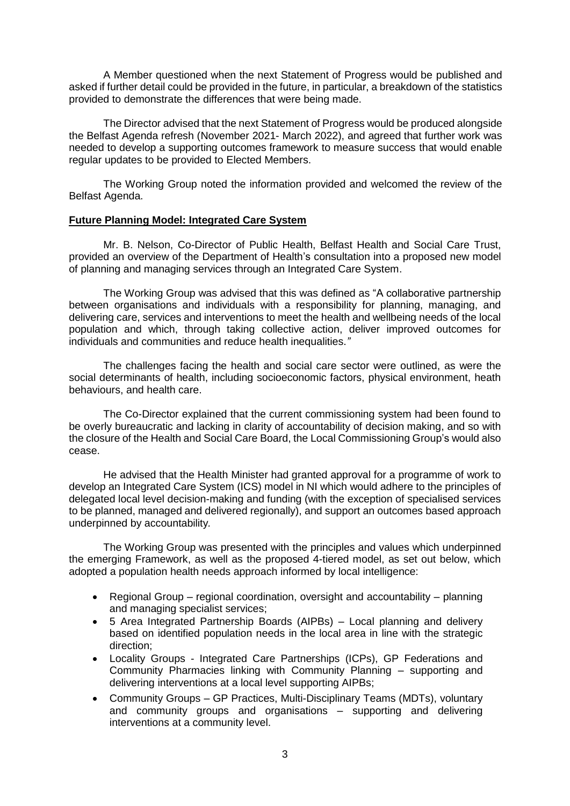A Member questioned when the next Statement of Progress would be published and asked if further detail could be provided in the future, in particular, a breakdown of the statistics provided to demonstrate the differences that were being made.

The Director advised that the next Statement of Progress would be produced alongside the Belfast Agenda refresh (November 2021- March 2022), and agreed that further work was needed to develop a supporting outcomes framework to measure success that would enable regular updates to be provided to Elected Members.

The Working Group noted the information provided and welcomed the review of the Belfast Agenda.

## **Future Planning Model: Integrated Care System**

Mr. B. Nelson, Co-Director of Public Health, Belfast Health and Social Care Trust, provided an overview of the Department of Health's consultation into a proposed new model of planning and managing services through an Integrated Care System.

The Working Group was advised that this was defined as "A collaborative partnership between organisations and individuals with a responsibility for planning, managing, and delivering care, services and interventions to meet the health and wellbeing needs of the local population and which, through taking collective action, deliver improved outcomes for individuals and communities and reduce health inequalities.*"*

The challenges facing the health and social care sector were outlined, as were the social determinants of health, including socioeconomic factors, physical environment, heath behaviours, and health care.

The Co-Director explained that the current commissioning system had been found to be overly bureaucratic and lacking in clarity of accountability of decision making, and so with the closure of the Health and Social Care Board, the Local Commissioning Group's would also cease.

He advised that the Health Minister had granted approval for a programme of work to develop an Integrated Care System (ICS) model in NI which would adhere to the principles of delegated local level decision-making and funding (with the exception of specialised services to be planned, managed and delivered regionally), and support an outcomes based approach underpinned by accountability*.*

The Working Group was presented with the principles and values which underpinned the emerging Framework, as well as the proposed 4-tiered model, as set out below, which adopted a population health needs approach informed by local intelligence:

- Regional Group regional coordination, oversight and accountability planning and managing specialist services;
- 5 Area Integrated Partnership Boards (AIPBs) Local planning and delivery based on identified population needs in the local area in line with the strategic direction;
- Locality Groups Integrated Care Partnerships (ICPs), GP Federations and Community Pharmacies linking with Community Planning – supporting and delivering interventions at a local level supporting AIPBs;
- Community Groups GP Practices, Multi-Disciplinary Teams (MDTs), voluntary and community groups and organisations – supporting and delivering interventions at a community level.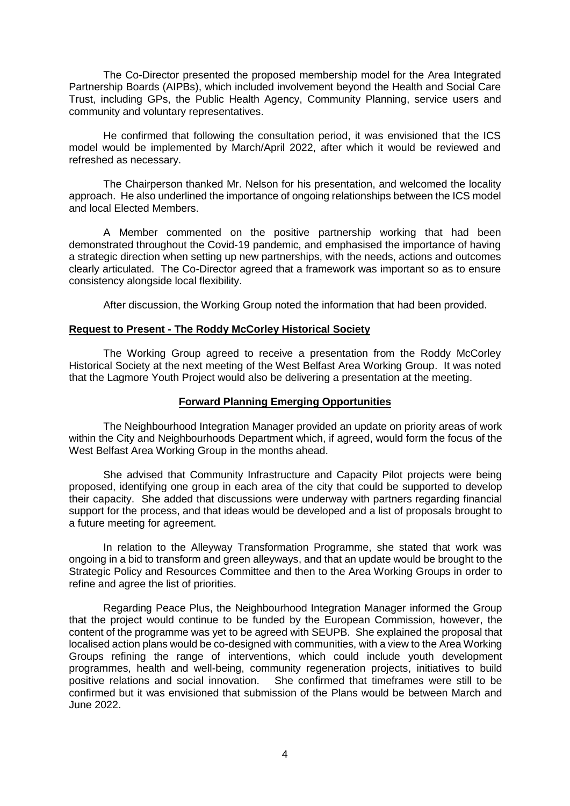The Co-Director presented the proposed membership model for the Area Integrated Partnership Boards (AIPBs), which included involvement beyond the Health and Social Care Trust, including GPs, the Public Health Agency, Community Planning, service users and community and voluntary representatives.

He confirmed that following the consultation period, it was envisioned that the ICS model would be implemented by March/April 2022, after which it would be reviewed and refreshed as necessary.

The Chairperson thanked Mr. Nelson for his presentation, and welcomed the locality approach. He also underlined the importance of ongoing relationships between the ICS model and local Elected Members.

A Member commented on the positive partnership working that had been demonstrated throughout the Covid-19 pandemic, and emphasised the importance of having a strategic direction when setting up new partnerships, with the needs, actions and outcomes clearly articulated. The Co-Director agreed that a framework was important so as to ensure consistency alongside local flexibility.

After discussion, the Working Group noted the information that had been provided.

## **Request to Present - The Roddy McCorley Historical Society**

The Working Group agreed to receive a presentation from the Roddy McCorley Historical Society at the next meeting of the West Belfast Area Working Group. It was noted that the Lagmore Youth Project would also be delivering a presentation at the meeting.

# **Forward Planning Emerging Opportunities**

The Neighbourhood Integration Manager provided an update on priority areas of work within the City and Neighbourhoods Department which, if agreed, would form the focus of the West Belfast Area Working Group in the months ahead.

She advised that Community Infrastructure and Capacity Pilot projects were being proposed, identifying one group in each area of the city that could be supported to develop their capacity. She added that discussions were underway with partners regarding financial support for the process, and that ideas would be developed and a list of proposals brought to a future meeting for agreement.

In relation to the Alleyway Transformation Programme, she stated that work was ongoing in a bid to transform and green alleyways, and that an update would be brought to the Strategic Policy and Resources Committee and then to the Area Working Groups in order to refine and agree the list of priorities.

Regarding Peace Plus, the Neighbourhood Integration Manager informed the Group that the project would continue to be funded by the European Commission, however, the content of the programme was yet to be agreed with SEUPB. She explained the proposal that localised action plans would be co-designed with communities, with a view to the Area Working Groups refining the range of interventions, which could include youth development programmes, health and well-being, community regeneration projects, initiatives to build positive relations and social innovation. She confirmed that timeframes were still to be confirmed but it was envisioned that submission of the Plans would be between March and June 2022.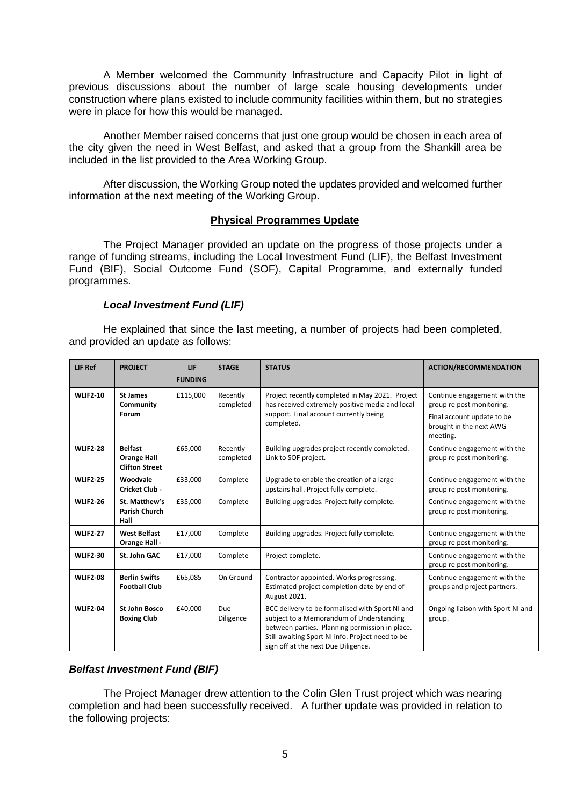A Member welcomed the Community Infrastructure and Capacity Pilot in light of previous discussions about the number of large scale housing developments under construction where plans existed to include community facilities within them, but no strategies were in place for how this would be managed.

Another Member raised concerns that just one group would be chosen in each area of the city given the need in West Belfast, and asked that a group from the Shankill area be included in the list provided to the Area Working Group.

After discussion, the Working Group noted the updates provided and welcomed further information at the next meeting of the Working Group.

## **Physical Programmes Update**

The Project Manager provided an update on the progress of those projects under a range of funding streams, including the Local Investment Fund (LIF), the Belfast Investment Fund (BIF), Social Outcome Fund (SOF), Capital Programme, and externally funded programmes.

## *Local Investment Fund (LIF)*

He explained that since the last meeting, a number of projects had been completed, and provided an update as follows:

| LIF Ref         | <b>PROJECT</b>                                                | <b>LIF</b><br><b>FUNDING</b> | <b>STAGE</b>          | <b>STATUS</b>                                                                                                                                                                                                                            | <b>ACTION/RECOMMENDATION</b>                                                                                                   |
|-----------------|---------------------------------------------------------------|------------------------------|-----------------------|------------------------------------------------------------------------------------------------------------------------------------------------------------------------------------------------------------------------------------------|--------------------------------------------------------------------------------------------------------------------------------|
| <b>WLIF2-10</b> | <b>St James</b><br>Community<br>Forum                         | £115,000                     | Recently<br>completed | Project recently completed in May 2021. Project<br>has received extremely positive media and local<br>support. Final account currently being<br>completed.                                                                               | Continue engagement with the<br>group re post monitoring.<br>Final account update to be<br>brought in the next AWG<br>meeting. |
| <b>WLIF2-28</b> | <b>Belfast</b><br><b>Orange Hall</b><br><b>Clifton Street</b> | £65,000                      | Recently<br>completed | Building upgrades project recently completed.<br>Link to SOF project.                                                                                                                                                                    | Continue engagement with the<br>group re post monitoring.                                                                      |
| <b>WLIF2-25</b> | Woodvale<br><b>Cricket Club-</b>                              | £33,000                      | Complete              | Upgrade to enable the creation of a large<br>upstairs hall. Project fully complete.                                                                                                                                                      | Continue engagement with the<br>group re post monitoring.                                                                      |
| <b>WLIF2-26</b> | St. Matthew's<br><b>Parish Church</b><br>Hall                 | £35,000                      | Complete              | Building upgrades. Project fully complete.                                                                                                                                                                                               | Continue engagement with the<br>group re post monitoring.                                                                      |
| <b>WLIF2-27</b> | <b>West Belfast</b><br>Orange Hall -                          | £17,000                      | Complete              | Building upgrades. Project fully complete.                                                                                                                                                                                               | Continue engagement with the<br>group re post monitoring.                                                                      |
| <b>WLIF2-30</b> | St. John GAC                                                  | £17,000                      | Complete              | Project complete.                                                                                                                                                                                                                        | Continue engagement with the<br>group re post monitoring.                                                                      |
| <b>WLIF2-08</b> | <b>Berlin Swifts</b><br><b>Football Club</b>                  | £65,085                      | On Ground             | Contractor appointed. Works progressing.<br>Estimated project completion date by end of<br>August 2021.                                                                                                                                  | Continue engagement with the<br>groups and project partners.                                                                   |
| <b>WLIF2-04</b> | <b>St John Bosco</b><br><b>Boxing Club</b>                    | £40,000                      | Due<br>Diligence      | BCC delivery to be formalised with Sport NI and<br>subject to a Memorandum of Understanding<br>between parties. Planning permission in place.<br>Still awaiting Sport NI info. Project need to be<br>sign off at the next Due Diligence. | Ongoing liaison with Sport NI and<br>group.                                                                                    |

# *Belfast Investment Fund (BIF)*

The Project Manager drew attention to the Colin Glen Trust project which was nearing completion and had been successfully received. A further update was provided in relation to the following projects: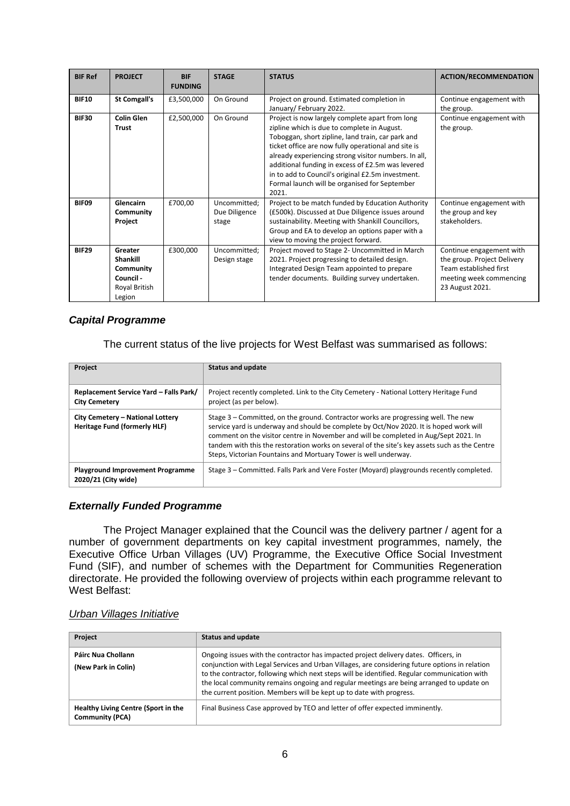| <b>BIF Ref</b> | <b>PROJECT</b>                                                                  | <b>BIF</b><br><b>FUNDING</b> | <b>STAGE</b>                           | <b>STATUS</b>                                                                                                                                                                                                                                                                                                                                                                                                                          | <b>ACTION/RECOMMENDATION</b>                                                                                                    |
|----------------|---------------------------------------------------------------------------------|------------------------------|----------------------------------------|----------------------------------------------------------------------------------------------------------------------------------------------------------------------------------------------------------------------------------------------------------------------------------------------------------------------------------------------------------------------------------------------------------------------------------------|---------------------------------------------------------------------------------------------------------------------------------|
| <b>BIF10</b>   | <b>St Comgall's</b>                                                             | £3,500,000                   | On Ground                              | Project on ground. Estimated completion in<br>January/February 2022.                                                                                                                                                                                                                                                                                                                                                                   | Continue engagement with<br>the group.                                                                                          |
| <b>BIF30</b>   | <b>Colin Glen</b><br><b>Trust</b>                                               | £2,500,000                   | On Ground                              | Project is now largely complete apart from long<br>zipline which is due to complete in August.<br>Toboggan, short zipline, land train, car park and<br>ticket office are now fully operational and site is<br>already experiencing strong visitor numbers. In all,<br>additional funding in excess of £2.5m was levered<br>in to add to Council's original £2.5m investment.<br>Formal launch will be organised for September<br>2021. | Continue engagement with<br>the group.                                                                                          |
| BIF09          | <b>Glencairn</b><br>Community<br>Project                                        | £700,00                      | Uncommitted;<br>Due Diligence<br>stage | Project to be match funded by Education Authority<br>(£500k). Discussed at Due Diligence issues around<br>sustainability. Meeting with Shankill Councillors,<br>Group and EA to develop an options paper with a<br>view to moving the project forward.                                                                                                                                                                                 | Continue engagement with<br>the group and key<br>stakeholders.                                                                  |
| <b>BIF29</b>   | Greater<br><b>Shankill</b><br>Community<br>Council -<br>Royal British<br>Legion | £300,000                     | Uncommitted;<br>Design stage           | Project moved to Stage 2- Uncommitted in March<br>2021. Project progressing to detailed design.<br>Integrated Design Team appointed to prepare<br>tender documents. Building survey undertaken.                                                                                                                                                                                                                                        | Continue engagement with<br>the group. Project Delivery<br>Team established first<br>meeting week commencing<br>23 August 2021. |

# *Capital Programme*

The current status of the live projects for West Belfast was summarised as follows:

| Project                                                                 | <b>Status and update</b>                                                                                                                                                                                                                                                                                                                                                                                                                 |
|-------------------------------------------------------------------------|------------------------------------------------------------------------------------------------------------------------------------------------------------------------------------------------------------------------------------------------------------------------------------------------------------------------------------------------------------------------------------------------------------------------------------------|
| Replacement Service Yard - Falls Park/<br><b>City Cemetery</b>          | Project recently completed. Link to the City Cemetery - National Lottery Heritage Fund<br>project (as per below).                                                                                                                                                                                                                                                                                                                        |
| City Cemetery - National Lottery<br><b>Heritage Fund (formerly HLF)</b> | Stage 3 – Committed, on the ground. Contractor works are progressing well. The new<br>service yard is underway and should be complete by Oct/Nov 2020. It is hoped work will<br>comment on the visitor centre in November and will be completed in Aug/Sept 2021. In<br>tandem with this the restoration works on several of the site's key assets such as the Centre<br>Steps, Victorian Fountains and Mortuary Tower is well underway. |
| <b>Playground Improvement Programme</b><br>2020/21 (City wide)          | Stage 3 – Committed. Falls Park and Vere Foster (Moyard) playgrounds recently completed.                                                                                                                                                                                                                                                                                                                                                 |

# *Externally Funded Programme*

The Project Manager explained that the Council was the delivery partner / agent for a number of government departments on key capital investment programmes, namely, the Executive Office Urban Villages (UV) Programme, the Executive Office Social Investment Fund (SIF), and number of schemes with the Department for Communities Regeneration directorate. He provided the following overview of projects within each programme relevant to West Belfast:

#### *Urban Villages Initiative*

| Project                                                       | <b>Status and update</b>                                                                                                                                                                                                                                                                                                                                                                                                                                   |
|---------------------------------------------------------------|------------------------------------------------------------------------------------------------------------------------------------------------------------------------------------------------------------------------------------------------------------------------------------------------------------------------------------------------------------------------------------------------------------------------------------------------------------|
| Páirc Nua Chollann<br>(New Park in Colin)                     | Ongoing issues with the contractor has impacted project delivery dates. Officers, in<br>conjunction with Legal Services and Urban Villages, are considering future options in relation<br>to the contractor, following which next steps will be identified. Regular communication with<br>the local community remains ongoing and regular meetings are being arranged to update on<br>the current position. Members will be kept up to date with progress. |
| Healthy Living Centre (Sport in the<br><b>Community (PCA)</b> | Final Business Case approved by TEO and letter of offer expected imminently.                                                                                                                                                                                                                                                                                                                                                                               |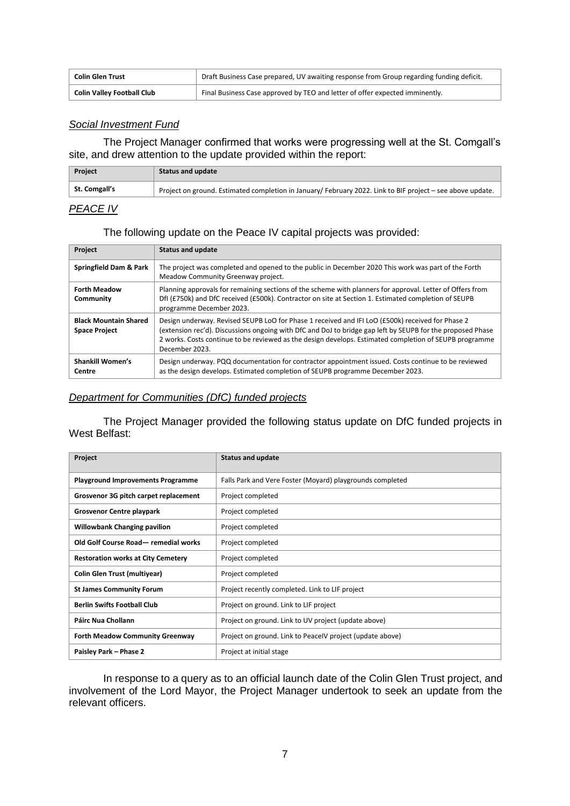| <b>Colin Glen Trust</b>           | Draft Business Case prepared, UV awaiting response from Group regarding funding deficit. |
|-----------------------------------|------------------------------------------------------------------------------------------|
| <b>Colin Valley Football Club</b> | Final Business Case approved by TEO and letter of offer expected imminently.             |

## *Social Investment Fund*

The Project Manager confirmed that works were progressing well at the St. Comgall's site, and drew attention to the update provided within the report:

| Project       | <b>Status and update</b>                                                                                  |
|---------------|-----------------------------------------------------------------------------------------------------------|
| St. Comgall's | Project on ground. Estimated completion in January/February 2022. Link to BIF project – see above update. |
|               |                                                                                                           |

# *PEACE IV*

## The following update on the Peace IV capital projects was provided:

| Project                                              | <b>Status and update</b>                                                                                                                                                                                                                                                                                                                   |
|------------------------------------------------------|--------------------------------------------------------------------------------------------------------------------------------------------------------------------------------------------------------------------------------------------------------------------------------------------------------------------------------------------|
| Springfield Dam & Park                               | The project was completed and opened to the public in December 2020 This work was part of the Forth<br>Meadow Community Greenway project.                                                                                                                                                                                                  |
| <b>Forth Meadow</b><br>Community                     | Planning approvals for remaining sections of the scheme with planners for approval. Letter of Offers from<br>Dfl (£750k) and DfC received (£500k). Contractor on site at Section 1. Estimated completion of SEUPB<br>programme December 2023.                                                                                              |
| <b>Black Mountain Shared</b><br><b>Space Project</b> | Design underway. Revised SEUPB LoO for Phase 1 received and IFI LoO (£500k) received for Phase 2<br>(extension rec'd). Discussions ongoing with DfC and DoJ to bridge gap left by SEUPB for the proposed Phase<br>2 works. Costs continue to be reviewed as the design develops. Estimated completion of SEUPB programme<br>December 2023. |
| <b>Shankill Women's</b><br>Centre                    | Design underway. PQQ documentation for contractor appointment issued. Costs continue to be reviewed<br>as the design develops. Estimated completion of SEUPB programme December 2023.                                                                                                                                                      |

#### *Department for Communities (DfC) funded projects*

The Project Manager provided the following status update on DfC funded projects in West Belfast:

| Project                                   | <b>Status and update</b>                                  |
|-------------------------------------------|-----------------------------------------------------------|
| <b>Playground Improvements Programme</b>  | Falls Park and Vere Foster (Moyard) playgrounds completed |
| Grosvenor 3G pitch carpet replacement     | Project completed                                         |
| Grosvenor Centre playpark                 | Project completed                                         |
| <b>Willowbank Changing pavilion</b>       | Project completed                                         |
| Old Golf Course Road-remedial works       | Project completed                                         |
| <b>Restoration works at City Cemetery</b> | Project completed                                         |
| <b>Colin Glen Trust (multiyear)</b>       | Project completed                                         |
| <b>St James Community Forum</b>           | Project recently completed. Link to LIF project           |
| <b>Berlin Swifts Football Club</b>        | Project on ground. Link to LIF project                    |
| Páirc Nua Chollann                        | Project on ground. Link to UV project (update above)      |
| <b>Forth Meadow Community Greenway</b>    | Project on ground. Link to PeacelV project (update above) |
| Paisley Park - Phase 2                    | Project at initial stage                                  |

In response to a query as to an official launch date of the Colin Glen Trust project, and involvement of the Lord Mayor, the Project Manager undertook to seek an update from the relevant officers.